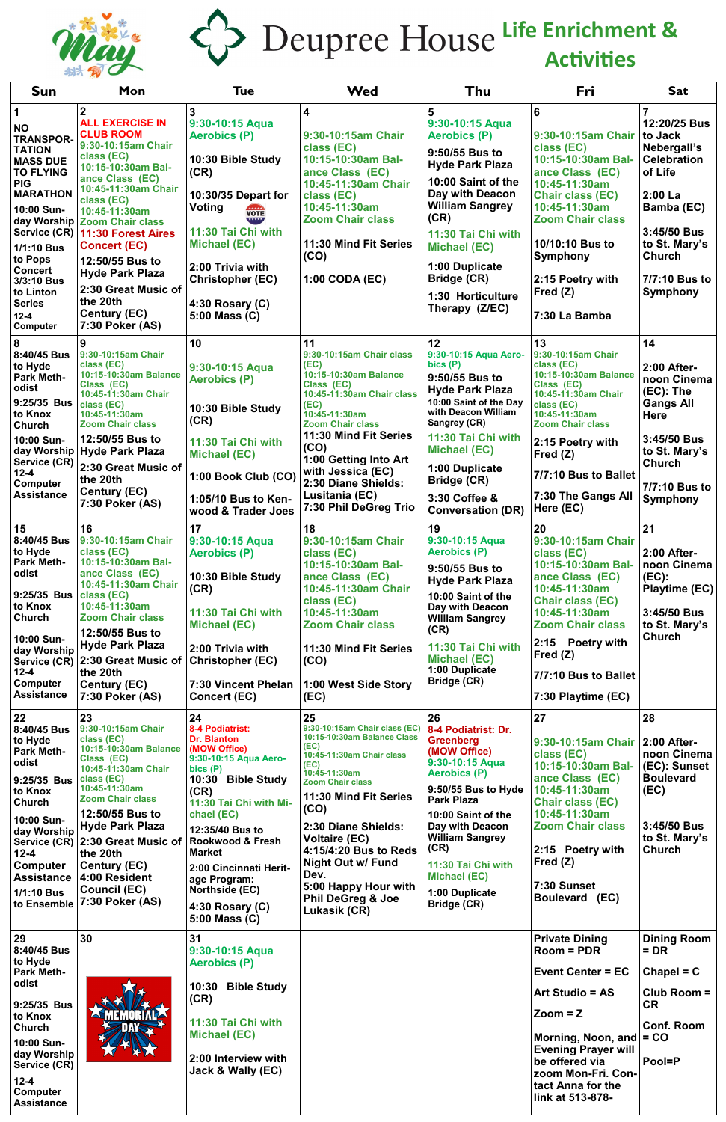| <b>Sun</b>                                                                                                                                                                                                                                                               | Mon                                                                                                                                                                                                                                                                                                                                                                                                      | <b>Tue</b>                                                                                                                                                                                                                                                                                                                                  | <b>Wed</b>                                                                                                                                                                                                                                                                                                                                                     | Thu                                                                                                                                                                                                                                                                                                          | Fri                                                                                                                                                                                                                                                           | <b>Sat</b>                                                                                                                                                                                                |
|--------------------------------------------------------------------------------------------------------------------------------------------------------------------------------------------------------------------------------------------------------------------------|----------------------------------------------------------------------------------------------------------------------------------------------------------------------------------------------------------------------------------------------------------------------------------------------------------------------------------------------------------------------------------------------------------|---------------------------------------------------------------------------------------------------------------------------------------------------------------------------------------------------------------------------------------------------------------------------------------------------------------------------------------------|----------------------------------------------------------------------------------------------------------------------------------------------------------------------------------------------------------------------------------------------------------------------------------------------------------------------------------------------------------------|--------------------------------------------------------------------------------------------------------------------------------------------------------------------------------------------------------------------------------------------------------------------------------------------------------------|---------------------------------------------------------------------------------------------------------------------------------------------------------------------------------------------------------------------------------------------------------------|-----------------------------------------------------------------------------------------------------------------------------------------------------------------------------------------------------------|
| 1<br><b>NO</b><br><b>TRANSPOR-</b><br><b>TATION</b><br><b>MASS DUE</b><br><b>TO FLYING</b><br><b>PIG</b><br><b>MARATHON</b><br>10:00 Sun-<br>Service (CR)<br>1/1:10 Bus<br>to Pops<br><b>Concert</b><br>3/3:10 Bus<br>to Linton<br><b>Series</b><br>$12 - 4$<br>Computer | $\boldsymbol{2}$<br><b>ALL EXERCISE IN</b><br><b>CLUB ROOM</b><br>9:30-10:15am Chair<br>class (EC)<br>10:15-10:30am Bal-<br>ance Class (EC)<br>10:45-11:30am Chair<br>class (EC)<br>10:45-11:30am<br>day Worship Zoom Chair class<br>11:30 Forest Aires<br><b>Concert (EC)</b><br>12:50/55 Bus to<br><b>Hyde Park Plaza</b><br>2:30 Great Music of<br>the 20th<br><b>Century (EC)</b><br>7:30 Poker (AS) | 3<br>9:30-10:15 Aqua<br><b>Aerobics (P)</b><br>10:30 Bible Study<br>(CR)<br>10:30/35 Depart for<br>Voting<br><b>VOTE</b><br>11:30 Tai Chi with<br><b>Michael (EC)</b><br>2:00 Trivia with<br><b>Christopher (EC)</b><br>4:30 Rosary (C)<br>5:00 Mass (C)                                                                                    | $\overline{\mathbf{4}}$<br>9:30-10:15am Chair<br>class (EC)<br>10:15-10:30am Bal-<br>ance Class (EC)<br>10:45-11:30am Chair<br>class (EC)<br>10:45-11:30am<br><b>Zoom Chair class</b><br>11:30 Mind Fit Series<br>(CO)<br>1:00 CODA (EC)                                                                                                                       | 5<br>9:30-10:15 Aqua<br><b>Aerobics (P)</b><br>9:50/55 Bus to<br><b>Hyde Park Plaza</b><br>10:00 Saint of the<br>Day with Deacon<br><b>William Sangrey</b><br>(CR)<br>11:30 Tai Chi with<br><b>Michael (EC)</b><br>1:00 Duplicate<br>Bridge (CR)<br>1:30 Horticulture<br>Therapy (Z/EC)                      | 6<br>9:30-10:15am Chair<br>class (EC)<br>10:15-10:30am Bal-<br>ance Class (EC)<br>10:45-11:30am<br><b>Chair class (EC)</b><br>10:45-11:30am<br><b>Zoom Chair class</b><br>10/10:10 Bus to<br><b>Symphony</b><br>2:15 Poetry with<br>Fred (Z)<br>7:30 La Bamba | $\overline{7}$<br>12:20/25 Bus<br>to Jack<br>Nebergall's<br><b>Celebration</b><br>of Life<br>$2:00$ La<br>Bamba (EC)<br>3:45/50 Bus<br>to St. Mary's<br><b>Church</b><br>7/7:10 Bus to<br><b>Symphony</b> |
| 8<br>8:40/45 Bus<br>to Hyde<br><b>Park Meth-</b><br>odist<br>9:25/35 Bus<br>to Knox<br><b>Church</b><br>10:00 Sun-<br>day Worship<br>Service (CR)<br>$12 - 4$<br>Computer<br><b>Assistance</b>                                                                           | 9<br>9:30-10:15am Chair<br>class (EC)<br>10:15-10:30am Balance<br>Class (EC)<br>10:45-11:30am Chair<br>class (EC)<br>10:45-11:30am<br><b>Zoom Chair class</b><br>12:50/55 Bus to<br><b>Hyde Park Plaza</b><br>2:30 Great Music of<br>the 20th<br><b>Century (EC)</b><br>7:30 Poker (AS)                                                                                                                  | 10<br>9:30-10:15 Aqua<br><b>Aerobics (P)</b><br>10:30 Bible Study<br>(CR)<br>11:30 Tai Chi with<br><b>Michael (EC)</b><br>1:00 Book Club (CO)<br>1:05/10 Bus to Ken-<br>wood & Trader Joes                                                                                                                                                  | 11<br>9:30-10:15am Chair class<br>(EC)<br>10:15-10:30am Balance<br>Class (EC)<br>10:45-11:30am Chair class<br>(EC)<br>10:45-11:30am<br><b>Zoom Chair class</b><br>11:30 Mind Fit Series<br>(CO)<br>1:00 Getting Into Art<br>with Jessica (EC)<br>2:30 Diane Shields:<br>Lusitania (EC)<br>7:30 Phil DeGreg Trio                                                | 12<br>9:30-10:15 Aqua Aero-<br>bics(P)<br>9:50/55 Bus to<br><b>Hyde Park Plaza</b><br>10:00 Saint of the Day<br>with Deacon William<br>Sangrey (CR)<br>11:30 Tai Chi with<br>Michael (EC)<br>1:00 Duplicate<br>Bridge (CR)<br>3:30 Coffee &<br><b>Conversation (DR)</b>                                      | 13<br>9:30-10:15am Chair<br>class (EC)<br>10:15-10:30am Balance<br>Class (EC)<br>10:45-11:30am Chair<br>class (EC)<br>10:45-11:30am<br><b>Zoom Chair class</b><br>2:15 Poetry with<br>Fred $(Z)$<br>7/7:10 Bus to Ballet<br>7:30 The Gangs All<br>Here (EC)   | 14<br>2:00 After-<br>noon Cinema<br>(EC): The<br><b>Gangs All</b><br><b>Here</b><br>3:45/50 Bus<br>to St. Mary's<br><b>Church</b><br>7/7:10 Bus to<br>Symphony                                            |
| 15<br>8:40/45 Bus<br>to Hyde<br><b>Park Meth-</b><br>odist<br>9:25/35 Bus<br>to Knox<br><b>Church</b><br>10:00 Sun-<br>day Worship<br>Service (CR)<br>$12 - 4$<br>Computer<br><b>Assistance</b>                                                                          | 16<br>9:30-10:15am Chair<br>class (EC)<br>10:15-10:30am Bal-<br>ance Class (EC)<br>10:45-11:30am Chair<br>class (EC)<br>10:45-11:30am<br><b>Zoom Chair class</b><br>12:50/55 Bus to<br><b>Hyde Park Plaza</b><br>2:30 Great Music of<br>the 20th<br><b>Century (EC)</b><br>7:30 Poker (AS)                                                                                                               | 17<br>9:30-10:15 Aqua<br><b>Aerobics (P)</b><br>10:30 Bible Study<br>(CR)<br>11:30 Tai Chi with<br><b>Michael (EC)</b><br>2:00 Trivia with<br>Christopher (EC)<br>7:30 Vincent Phelan<br>Concert (EC)                                                                                                                                       | 18<br>9:30-10:15am Chair<br>class (EC)<br>10:15-10:30am Bal-<br>ance Class (EC)<br>10:45-11:30am Chair<br>class (EC)<br>10:45-11:30am<br><b>Zoom Chair class</b><br>11:30 Mind Fit Series<br>(CO)<br>1:00 West Side Story<br>(EC)                                                                                                                              | 19<br>9:30-10:15 Aqua<br><b>Aerobics (P)</b><br>9:50/55 Bus to<br><b>Hyde Park Plaza</b><br>10:00 Saint of the<br>Day with Deacon<br><b>William Sangrey</b><br>(CR)<br>11:30 Tai Chi with<br>Michael (EC)<br>1:00 Duplicate<br>Bridge (CR)                                                                   | 20<br>9:30-10:15am Chair<br>class (EC)<br>10:15-10:30am Bal-<br>ance Class (EC)<br>10:45-11:30am<br><b>Chair class (EC)</b><br>10:45-11:30am<br><b>Zoom Chair class</b><br>2:15 Poetry with<br>Fred (Z)<br>7/7:10 Bus to Ballet<br>7:30 Playtime (EC)         | 21<br>2:00 After-<br>noon Cinema<br>$(EC)$ :<br>Playtime (EC)<br>3:45/50 Bus<br>to St. Mary's<br><b>Church</b>                                                                                            |
| 22<br>8:40/45 Bus<br>to Hyde<br><b>Park Meth-</b><br>odist<br>9:25/35 Bus<br>to Knox<br><b>Church</b><br>10:00 Sun-<br>day Worship<br>Service (CR)<br>$12 - 4$<br>Computer<br><b>Assistance</b><br>1/1:10 Bus<br>to Ensemble                                             | 23<br>9:30-10:15am Chair<br>class (EC)<br>10:15-10:30am Balance<br>Class (EC)<br>10:45-11:30am Chair<br>class (EC)<br>10:45-11:30am<br><b>Zoom Chair class</b><br>12:50/55 Bus to<br><b>Hyde Park Plaza</b><br>2:30 Great Music of<br>the 20th<br><b>Century (EC)</b><br>4:00 Resident<br><b>Council (EC)</b><br>7:30 Poker (AS)                                                                         | 24<br>8-4 Podiatrist:<br><b>Dr. Blanton</b><br>(MOW Office)<br>9:30-10:15 Aqua Aero-<br>bics(P)<br>10:30 Bible Study<br>(CR)<br>11:30 Tai Chi with Mi-<br>chael (EC)<br>12:35/40 Bus to<br><b>Rookwood &amp; Fresh</b><br><b>Market</b><br>2:00 Cincinnati Herit-<br>age Program:<br>Northside (EC)<br>$4:30$ Rosary $(C)$<br>5:00 Mass (C) | 25<br>9:30-10:15am Chair class (EC)<br>10:15-10:30am Balance Class<br>(EC)<br>10:45-11:30am Chair class<br>(EC)<br>10:45-11:30am<br><b>Zoom Chair class</b><br>11:30 Mind Fit Series<br>(CO)<br>2:30 Diane Shields:<br>Voltaire (EC)<br>4:15/4:20 Bus to Reds<br><b>Night Out w/ Fund</b><br>Dev.<br>5:00 Happy Hour with<br>Phil DeGreg & Joe<br>Lukasik (CR) | 26<br>8-4 Podiatrist: Dr.<br><b>Greenberg</b><br>(MOW Office)<br>9:30-10:15 Aqua<br><b>Aerobics (P)</b><br>9:50/55 Bus to Hyde<br><b>Park Plaza</b><br>10:00 Saint of the<br>Day with Deacon<br><b>William Sangrey</b><br>(CR)<br>11:30 Tai Chi with<br><b>Michael (EC)</b><br>1:00 Duplicate<br>Bridge (CR) | 27<br>9:30-10:15am Chair<br>class (EC)<br>10:15-10:30am Bal-<br>ance Class (EC)<br>10:45-11:30am<br><b>Chair class (EC)</b><br>10:45-11:30am<br><b>Zoom Chair class</b><br>2:15 Poetry with<br>Fred $(Z)$<br>7:30 Sunset<br>Boulevard (EC)                    | 28<br><b>2:00 After-</b><br>noon Cinema<br>(EC): Sunset<br><b>Boulevard</b><br>(EC)<br>3:45/50 Bus<br>to St. Mary's<br><b>Church</b>                                                                      |
| 29<br>8:40/45 Bus<br>to Hyde<br><b>Park Meth-</b><br>odist<br>9:25/35 Bus<br>to Knox<br><b>Church</b><br>10:00 Sun-<br>day Worship<br>Service (CR)<br>$12 - 4$<br>Computer<br><b>Assistance</b>                                                                          | 30                                                                                                                                                                                                                                                                                                                                                                                                       | 31<br>9:30-10:15 Aqua<br><b>Aerobics (P)</b><br><b>Bible Study</b><br>10:30<br>(CR)<br>11:30 Tai Chi with<br><b>Michael (EC)</b><br>2:00 Interview with<br>Jack & Wally (EC)                                                                                                                                                                |                                                                                                                                                                                                                                                                                                                                                                |                                                                                                                                                                                                                                                                                                              | <b>Private Dining</b><br>$Room = PDR$<br><b>Event Center = EC</b><br>Art Studio = AS<br>$Zoom = Z$<br>Morning, Noon, and $=$ CO<br><b>Evening Prayer will</b><br>be offered via<br>zoom Mon-Fri. Con-<br>tact Anna for the<br>link at 513-878-                | <b>Dining Room</b><br>$= DR$<br>$Chapel = C$<br>Club Room $=$<br><b>CR</b><br><b>Conf. Room</b><br>Pool=P                                                                                                 |



## **Life Enrichment & Activities**